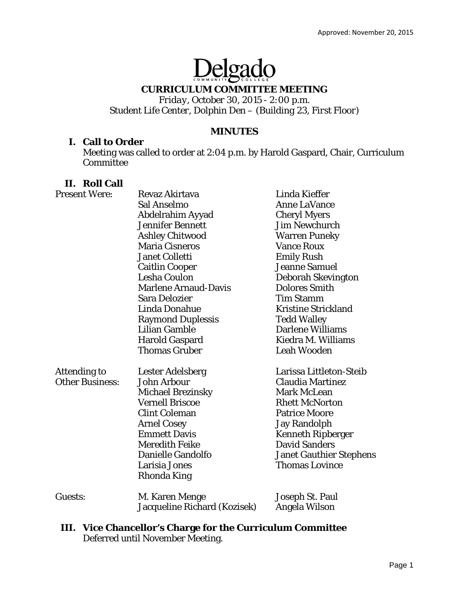# Delgado

# **CURRICULUM COMMITTEE MEETING**

*Friday, October 30, 2015 - 2:00 p.m. Student Life Center, Dolphin Den – (Building 23, First Floor)* 

## **MINUTES**

## **I. Call to Order**

Meeting was called to order at 2:04 p.m. by Harold Gaspard, Chair, Curriculum Committee

# **II. Roll Call**

| <b>Present Were:</b>   | <b>Revaz Akirtava</b>        | Linda Kieffer                  |
|------------------------|------------------------------|--------------------------------|
|                        | Sal Anselmo                  | <b>Anne LaVance</b>            |
|                        | Abdelrahim Ayyad             | <b>Cheryl Myers</b>            |
|                        | <b>Jennifer Bennett</b>      | <b>Jim Newchurch</b>           |
|                        | <b>Ashley Chitwood</b>       | <b>Warren Puneky</b>           |
|                        | <b>Maria Cisneros</b>        | <b>Vance Roux</b>              |
|                        | <b>Janet Colletti</b>        | <b>Emily Rush</b>              |
|                        | <b>Caitlin Cooper</b>        | <b>Jeanne Samuel</b>           |
|                        | <b>Lesha Coulon</b>          | <b>Deborah Skevington</b>      |
|                        | <b>Marlene Arnaud-Davis</b>  | <b>Dolores Smith</b>           |
|                        | <b>Sara Delozier</b>         | <b>Tim Stamm</b>               |
|                        | Linda Donahue                | <b>Kristine Strickland</b>     |
|                        | <b>Raymond Duplessis</b>     | <b>Tedd Walley</b>             |
|                        | <b>Lilian Gamble</b>         | <b>Darlene Williams</b>        |
|                        | <b>Harold Gaspard</b>        | Kiedra M. Williams             |
|                        | <b>Thomas Gruber</b>         | <b>Leah Wooden</b>             |
| Attending to           | <b>Lester Adelsberg</b>      | Larissa Littleton-Steib        |
| <b>Other Business:</b> | John Arbour                  | <b>Claudia Martinez</b>        |
|                        | <b>Michael Brezinsky</b>     | <b>Mark McLean</b>             |
|                        | <b>Vernell Briscoe</b>       | <b>Rhett McNorton</b>          |
|                        | <b>Clint Coleman</b>         | <b>Patrice Moore</b>           |
|                        | <b>Arnel Cosey</b>           | <b>Jay Randolph</b>            |
|                        | <b>Emmett Davis</b>          | <b>Kenneth Ripberger</b>       |
|                        | <b>Meredith Feike</b>        | <b>David Sanders</b>           |
|                        | <b>Danielle Gandolfo</b>     | <b>Janet Gauthier Stephens</b> |
|                        | Larisia Jones                | <b>Thomas Lovince</b>          |
|                        | Rhonda King                  |                                |
| Guests:                | M. Karen Menge               | Joseph St. Paul                |
|                        | Jacqueline Richard (Kozisek) | Angela Wilson                  |

# **III. Vice Chancellor's Charge for the Curriculum Committee**  Deferred until November Meeting.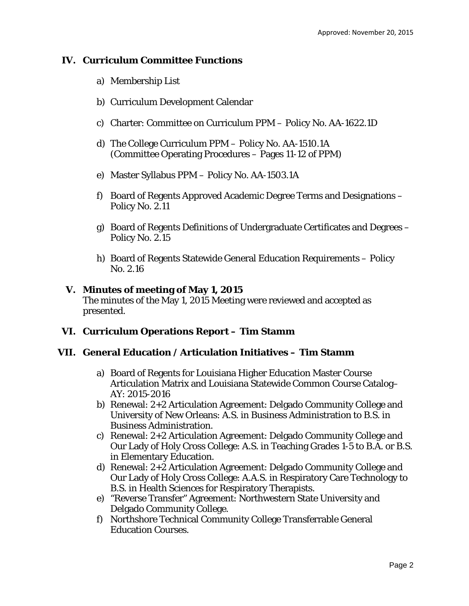# **IV. Curriculum Committee Functions**

- a) Membership List
- b) Curriculum Development Calendar
- c) Charter: Committee on Curriculum PPM Policy No. AA-1622.1D
- d) The College Curriculum PPM Policy No. AA-1510.1A (Committee Operating Procedures – Pages 11-12 of PPM)
- e) Master Syllabus PPM Policy No. AA-1503.1A
- f) Board of Regents Approved Academic Degree Terms and Designations Policy No. 2.11
- g) Board of Regents Definitions of Undergraduate Certificates and Degrees Policy No. 2.15
- h) Board of Regents Statewide General Education Requirements Policy No. 2.16

# **V. Minutes of meeting of May 1, 2015**

The minutes of the May 1, 2015 Meeting were reviewed and accepted as presented.

# **VI. Curriculum Operations Report – Tim Stamm**

# **VII. General Education / Articulation Initiatives – Tim Stamm**

- a) Board of Regents for Louisiana Higher Education Master Course Articulation Matrix and Louisiana Statewide Common Course Catalog– AY: 2015-2016
- b) Renewal: 2+2 Articulation Agreement: Delgado Community College and University of New Orleans: A.S. in Business Administration to B.S. in Business Administration.
- c) Renewal: 2+2 Articulation Agreement: Delgado Community College and Our Lady of Holy Cross College: A.S. in Teaching Grades 1-5 to B.A. or B.S. in Elementary Education.
- d) Renewal: 2+2 Articulation Agreement: Delgado Community College and Our Lady of Holy Cross College: A.A.S. in Respiratory Care Technology to B.S. in Health Sciences for Respiratory Therapists.
- e) "Reverse Transfer" Agreement: Northwestern State University and Delgado Community College.
- f) Northshore Technical Community College Transferrable General Education Courses.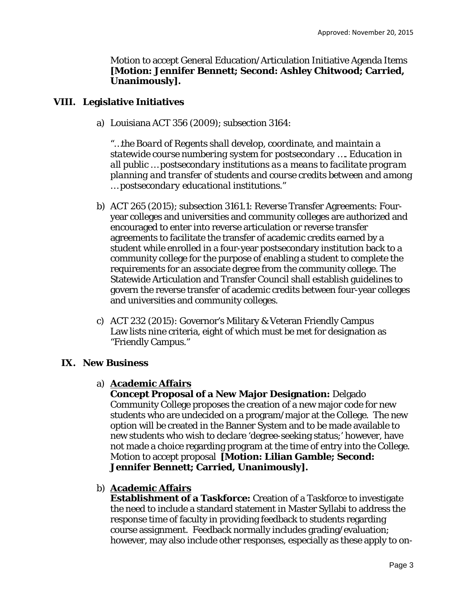Motion to accept General Education/Articulation Initiative Agenda Items **[Motion: Jennifer Bennett; Second: Ashley Chitwood; Carried, Unanimously].** 

## **VIII. Legislative Initiatives**

a) Louisiana ACT 356 (2009); subsection 3164:

*"…the Board of Regents shall develop, coordinate, and maintain a statewide course numbering system for postsecondary …. Education in all public … postsecondary institutions as a means to facilitate program planning and transfer of students and course credits between and among … postsecondary educational institutions."* 

- b) ACT 265 (2015); subsection 3161.1: Reverse Transfer Agreements: Fouryear colleges and universities and community colleges are authorized and encouraged to enter into reverse articulation or reverse transfer agreements to facilitate the transfer of academic credits earned by a student while enrolled in a four-year postsecondary institution back to a community college for the purpose of enabling a student to complete the requirements for an associate degree from the community college. The Statewide Articulation and Transfer Council shall establish guidelines to govern the reverse transfer of academic credits between four-year colleges and universities and community colleges.
- c) ACT 232 (2015): Governor's Military & Veteran Friendly Campus Law lists nine criteria, eight of which must be met for designation as "Friendly Campus."

#### **IX. New Business**

#### a) **Academic Affairs**

**Concept Proposal of a New Major Designation:** Delgado Community College proposes the creation of a new major code for new students who are undecided on a program/major at the College. The new option will be created in the Banner System and to be made available to new students who wish to declare 'degree-seeking status;' however, have not made a choice regarding program at the time of entry into the College. Motion to accept proposal **[Motion: Lilian Gamble; Second: Jennifer Bennett; Carried, Unanimously].** 

b) **Academic Affairs** 

**Establishment of a Taskforce:** Creation of a Taskforce to investigate the need to include a standard statement in Master Syllabi to address the response time of faculty in providing feedback to students regarding course assignment. Feedback normally includes grading/evaluation; however, may also include other responses, especially as these apply to on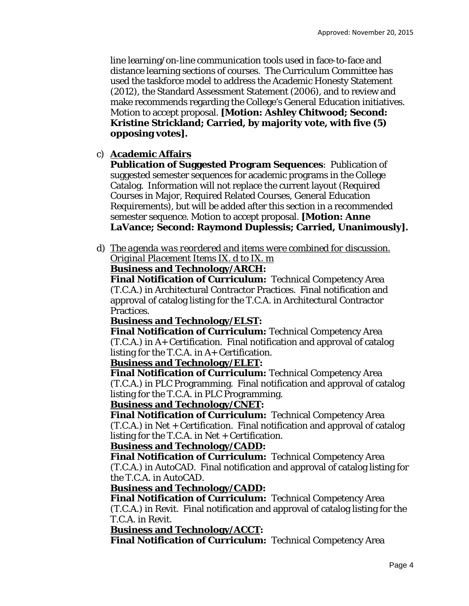line learning/on-line communication tools used in face-to-face and distance learning sections of courses. The Curriculum Committee has used the taskforce model to address the Academic Honesty Statement (2012), the Standard Assessment Statement (2006), and to review and make recommends regarding the College's General Education initiatives. Motion to accept proposal. **[Motion: Ashley Chitwood; Second: Kristine Strickland; Carried, by majority vote, with five (5) opposing votes].** 

# c) **Academic Affairs**

**Publication of Suggested Program Sequences**: Publication of suggested semester sequences for academic programs in the College Catalog. Information will not replace the current layout (Required Courses in Major, Required Related Courses, General Education Requirements), but will be added after this section in a recommended semester sequence. Motion to accept proposal. **[Motion: Anne LaVance; Second: Raymond Duplessis; Carried, Unanimously].** 

d) *The agenda was reordered and items were combined for discussion. Original Placement Items IX. d to IX. m* 

## **Business and Technology/ARCH:**

**Final Notification of Curriculum:** Technical Competency Area (T.C.A.) in Architectural Contractor Practices. Final notification and approval of catalog listing for the T.C.A. in Architectural Contractor Practices.

# **Business and Technology/ELST:**

**Final Notification of Curriculum:** Technical Competency Area (T.C.A.) in A+ Certification. Final notification and approval of catalog listing for the T.C.A. in A+ Certification.

# **Business and Technology/ELET:**

**Final Notification of Curriculum:** Technical Competency Area (T.C.A.) in PLC Programming. Final notification and approval of catalog listing for the T.C.A. in PLC Programming.

## **Business and Technology/CNET:**

**Final Notification of Curriculum:** Technical Competency Area (T.C.A.) in Net + Certification. Final notification and approval of catalog listing for the T.C.A. in Net + Certification.

# **Business and Technology/CADD:**

**Final Notification of Curriculum:** Technical Competency Area (T.C.A.) in AutoCAD. Final notification and approval of catalog listing for the T.C.A. in AutoCAD.

# **Business and Technology/CADD:**

**Final Notification of Curriculum:** Technical Competency Area (T.C.A.) in Revit. Final notification and approval of catalog listing for the T.C.A. in Revit.

# **Business and Technology/ACCT:**

**Final Notification of Curriculum:** Technical Competency Area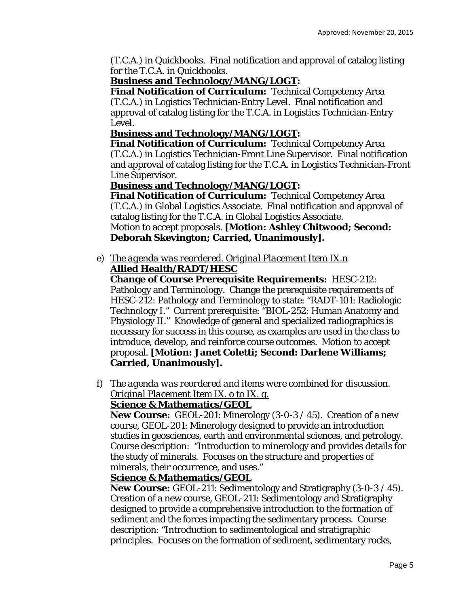(T.C.A.) in Quickbooks. Final notification and approval of catalog listing for the T.C.A. in Quickbooks.

# **Business and Technology/MANG/LOGT:**

**Final Notification of Curriculum:** Technical Competency Area (T.C.A.) in Logistics Technician-Entry Level. Final notification and approval of catalog listing for the T.C.A. in Logistics Technician-Entry Level.

# **Business and Technology/MANG/LOGT:**

**Final Notification of Curriculum:** Technical Competency Area (T.C.A.) in Logistics Technician-Front Line Supervisor. Final notification and approval of catalog listing for the T.C.A. in Logistics Technician-Front Line Supervisor.

# **Business and Technology/MANG/LOGT:**

**Final Notification of Curriculum:** Technical Competency Area (T.C.A.) in Global Logistics Associate. Final notification and approval of catalog listing for the T.C.A. in Global Logistics Associate.

Motion to accept proposals. **[Motion: Ashley Chitwood; Second: Deborah Skevington; Carried, Unanimously].** 

## e) *The agenda was reordered. Original Placement Item IX.n*  **Allied Health/RADT/HESC**

**Change of Course Prerequisite Requirements:** HESC-212: Pathology and Terminology. Change the prerequisite requirements of HESC-212: Pathology and Terminology to state: "RADT-101: Radiologic Technology I." Current prerequisite: "BIOL-252: Human Anatomy and Physiology II." Knowledge of general and specialized radiographics is necessary for success in this course, as examples are used in the class to introduce, develop, and reinforce course outcomes. Motion to accept proposal. **[Motion: Janet Coletti; Second: Darlene Williams; Carried, Unanimously].** 

f) *The agenda was reordered and items were combined for discussion. Original Placement Item IX. o to IX. q.* 

# **Science & Mathematics/GEOL**

**New Course:** GEOL-201: Minerology (3-0-3 / 45). Creation of a new course, GEOL-201: Minerology designed to provide an introduction studies in geosciences, earth and environmental sciences, and petrology. Course description: "Introduction to minerology and provides details for the study of minerals. Focuses on the structure and properties of minerals, their occurrence, and uses."

# **Science & Mathematics/GEOL**

**New Course:** GEOL-211: Sedimentology and Stratigraphy (3-0-3 / 45). Creation of a new course, GEOL-211: Sedimentology and Stratigraphy designed to provide a comprehensive introduction to the formation of sediment and the forces impacting the sedimentary process. Course description: "Introduction to sedimentological and stratigraphic principles. Focuses on the formation of sediment, sedimentary rocks,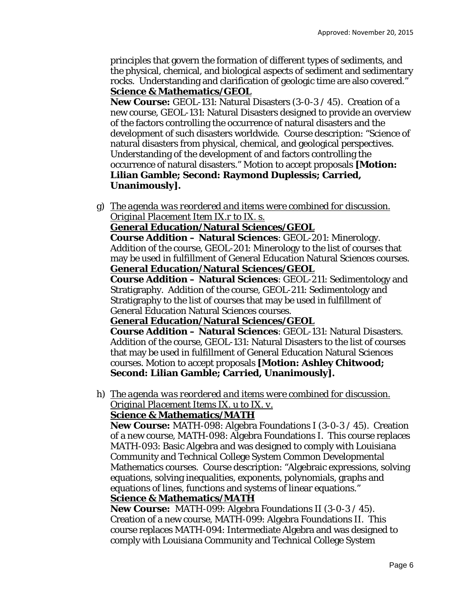principles that govern the formation of different types of sediments, and the physical, chemical, and biological aspects of sediment and sedimentary rocks. Understanding and clarification of geologic time are also covered." **Science & Mathematics/GEOL** 

**New Course:** GEOL-131: Natural Disasters (3-0-3 / 45). Creation of a new course, GEOL-131: Natural Disasters designed to provide an overview of the factors controlling the occurrence of natural disasters and the development of such disasters worldwide. Course description: "Science of natural disasters from physical, chemical, and geological perspectives. Understanding of the development of and factors controlling the occurrence of natural disasters." Motion to accept proposals **[Motion: Lilian Gamble; Second: Raymond Duplessis; Carried, Unanimously].** 

g) *The agenda was reordered and items were combined for discussion. Original Placement Item IX.r to IX. s.* 

## **General Education/Natural Sciences/GEOL**

**Course Addition – Natural Sciences**: GEOL-201: Minerology. Addition of the course, GEOL-201: Minerology to the list of courses that may be used in fulfillment of General Education Natural Sciences courses. **General Education/Natural Sciences/GEOL** 

**Course Addition – Natural Sciences**: GEOL-211: Sedimentology and Stratigraphy. Addition of the course, GEOL-211: Sedimentology and Stratigraphy to the list of courses that may be used in fulfillment of General Education Natural Sciences courses.

#### **General Education/Natural Sciences/GEOL**

**Course Addition – Natural Sciences**: GEOL-131: Natural Disasters. Addition of the course, GEOL-131: Natural Disasters to the list of courses that may be used in fulfillment of General Education Natural Sciences courses. Motion to accept proposals **[Motion: Ashley Chitwood; Second: Lilian Gamble; Carried, Unanimously].** 

h) *The agenda was reordered and items were combined for discussion. Original Placement Items IX. u to IX. v.* 

#### **Science & Mathematics/MATH**

**New Course:** MATH-098: Algebra Foundations I (3-0-3 / 45). Creation of a new course, MATH-098: Algebra Foundations I. This course replaces MATH-093: Basic Algebra and was designed to comply with Louisiana Community and Technical College System Common Developmental Mathematics courses. Course description: "Algebraic expressions, solving equations, solving inequalities, exponents, polynomials, graphs and equations of lines, functions and systems of linear equations."

#### **Science & Mathematics/MATH**

**New Course:** MATH-099: Algebra Foundations II (3-0-3 / 45). Creation of a new course, MATH-099: Algebra Foundations II. This course replaces MATH-094: Intermediate Algebra and was designed to comply with Louisiana Community and Technical College System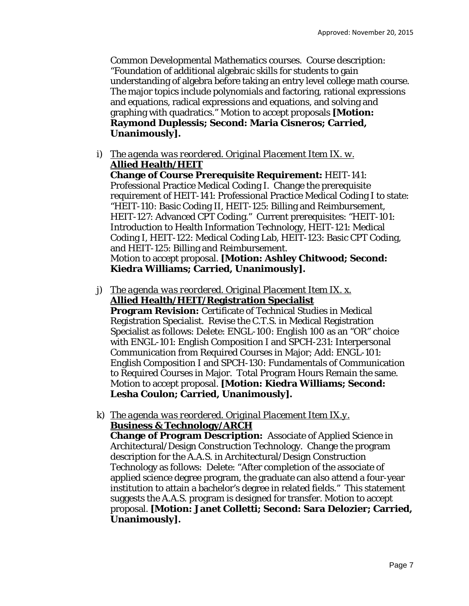Common Developmental Mathematics courses. Course description: "Foundation of additional algebraic skills for students to gain understanding of algebra before taking an entry level college math course. The major topics include polynomials and factoring, rational expressions and equations, radical expressions and equations, and solving and graphing with quadratics." Motion to accept proposals **[Motion: Raymond Duplessis; Second: Maria Cisneros; Carried, Unanimously].** 

i) *The agenda was reordered. Original Placement Item IX. w.*  **Allied Health/HEIT** 

**Change of Course Prerequisite Requirement:** HEIT-141: Professional Practice Medical Coding I. Change the prerequisite requirement of HEIT-141: Professional Practice Medical Coding I to state: "HEIT-110: Basic Coding II, HEIT-125: Billing and Reimbursement, HEIT-127: Advanced CPT Coding." Current prerequisites: "HEIT-101: Introduction to Health Information Technology, HEIT-121: Medical Coding I, HEIT-122: Medical Coding Lab, HEIT-123: Basic CPT Coding, and HEIT-125: Billing and Reimbursement. Motion to accept proposal. **[Motion: Ashley Chitwood; Second: Kiedra Williams; Carried, Unanimously].** 

- j) *The agenda was reordered. Original Placement Item IX. x.*  **Allied Health/HEIT/Registration Specialist Program Revision:** Certificate of Technical Studies in Medical Registration Specialist. Revise the C.T.S. in Medical Registration Specialist as follows: Delete: ENGL-100: English 100 as an "OR" choice with ENGL-101: English Composition I and SPCH-231: Interpersonal Communication from Required Courses in Major; Add: ENGL-101: English Composition I and SPCH-130: Fundamentals of Communication to Required Courses in Major. Total Program Hours Remain the same. Motion to accept proposal. **[Motion: Kiedra Williams; Second: Lesha Coulon; Carried, Unanimously].**
- k) *The agenda was reordered. Original Placement Item IX.y.*  **Business & Technology/ARCH**

**Change of Program Description:** Associate of Applied Science in Architectural/Design Construction Technology. Change the program description for the A.A.S. in Architectural/Design Construction Technology as follows: Delete: "After completion of the associate of applied science degree program, the graduate can also attend a four-year institution to attain a bachelor's degree in related fields." This statement suggests the A.A.S. program is designed for transfer. Motion to accept proposal. **[Motion: Janet Colletti; Second: Sara Delozier; Carried, Unanimously].**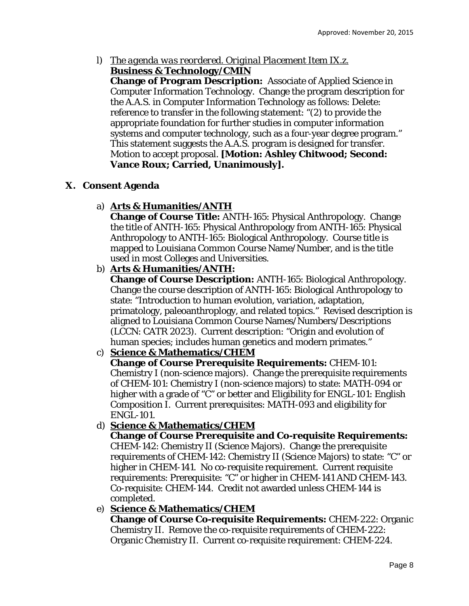l) *The agenda was reordered. Original Placement Item IX.z.*  **Business & Technology/CMIN** 

**Change of Program Description:** Associate of Applied Science in Computer Information Technology. Change the program description for the A.A.S. in Computer Information Technology as follows: Delete: reference to transfer in the following statement: "(2) to provide the appropriate foundation for further studies in computer information systems and computer technology, such as a four-year degree program." This statement suggests the A.A.S. program is designed for transfer. Motion to accept proposal. **[Motion: Ashley Chitwood; Second: Vance Roux; Carried, Unanimously].** 

# **X. Consent Agenda**

# a) **Arts & Humanities/ANTH**

**Change of Course Title:** ANTH-165: Physical Anthropology. Change the title of ANTH-165: Physical Anthropology *from* ANTH-165: Physical Anthropology *to* ANTH-165: Biological Anthropology. Course title is mapped to Louisiana Common Course Name/Number, and is the title used in most Colleges and Universities.

# b) **Arts & Humanities/ANTH:**

**Change of Course Description:** ANTH-165: Biological Anthropology. Change the course description of ANTH-165: Biological Anthropology to state: "Introduction to human evolution, variation, adaptation, primatology, paleoanthroplogy, and related topics." Revised description is aligned to Louisiana Common Course Names/Numbers/Descriptions (LCCN: CATR 2023). Current description: "Origin and evolution of human species; includes human genetics and modern primates."

# c) **Science & Mathematics/CHEM**

**Change of Course Prerequisite Requirements:** CHEM-101: Chemistry I (non-science majors). Change the prerequisite requirements of CHEM-101: Chemistry I (non-science majors) to state: MATH-094 or higher with a grade of "C" or better and Eligibility for ENGL-101: English Composition I. Current prerequisites: MATH-093 and eligibility for ENGL-101.

# d) **Science & Mathematics/CHEM**

**Change of Course Prerequisite and Co-requisite Requirements:** CHEM-142: Chemistry II (Science Majors). Change the prerequisite requirements of CHEM-142: Chemistry II (Science Majors) to state: "C" or higher in CHEM-141. No co-requisite requirement. Current requisite requirements: Prerequisite: "C" or higher in CHEM-141 AND CHEM-143. Co-requisite: CHEM-144. Credit not awarded unless CHEM-144 is completed.

# e) **Science & Mathematics/CHEM**

**Change of Course Co-requisite Requirements:** CHEM-222: Organic Chemistry II. Remove the co-requisite requirements of CHEM-222: Organic Chemistry II. Current co-requisite requirement: CHEM-224.